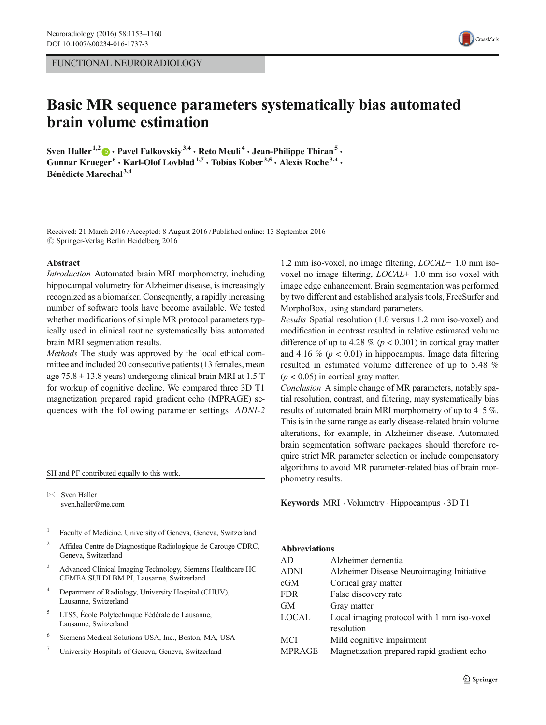FUNCTIONAL NEURORADIOLOGY

# Basic MR sequence parameters systematically bias automated brain volume estimation

Sven Haller<sup>1,2</sup>  $\bullet$  · Pavel Falkovskiy<sup>3,4</sup> · Reto Meuli<sup>4</sup> · Jean-Philippe Thiran<sup>5</sup> · Gunnar Krueger<sup>6</sup> • Karl-Olof Lovblad<sup>1,7</sup> • Tobias Kober<sup>3,5</sup> • Alexis Roche<sup>3,4</sup> • Bénédicte Marechal<sup>3,4</sup>

Received: 21 March 2016 /Accepted: 8 August 2016 /Published online: 13 September 2016  $\oslash$  Springer-Verlag Berlin Heidelberg 2016

#### Abstract

Introduction Automated brain MRI morphometry, including hippocampal volumetry for Alzheimer disease, is increasingly recognized as a biomarker. Consequently, a rapidly increasing number of software tools have become available. We tested whether modifications of simple MR protocol parameters typically used in clinical routine systematically bias automated brain MRI segmentation results.

Methods The study was approved by the local ethical committee and included 20 consecutive patients (13 females, mean age  $75.8 \pm 13.8$  years) undergoing clinical brain MRI at 1.5 T for workup of cognitive decline. We compared three 3D T1 magnetization prepared rapid gradient echo (MPRAGE) sequences with the following parameter settings: ADNI-2

SH and PF contributed equally to this work.

 $\boxtimes$  Sven Haller sven.haller@me.com

- <sup>1</sup> Faculty of Medicine, University of Geneva, Geneva, Switzerland
- <sup>2</sup> Affidea Centre de Diagnostique Radiologique de Carouge CDRC, Geneva, Switzerland
- <sup>3</sup> Advanced Clinical Imaging Technology, Siemens Healthcare HC CEMEA SUI DI BM PI, Lausanne, Switzerland
- Department of Radiology, University Hospital (CHUV), Lausanne, Switzerland
- <sup>5</sup> LTS5, École Polytechnique Fédérale de Lausanne, Lausanne, Switzerland
- <sup>6</sup> Siemens Medical Solutions USA, Inc., Boston, MA, USA
- <sup>7</sup> University Hospitals of Geneva, Geneva, Switzerland



Results Spatial resolution (1.0 versus 1.2 mm iso-voxel) and modification in contrast resulted in relative estimated volume difference of up to 4.28 % ( $p < 0.001$ ) in cortical gray matter and 4.16 % ( $p < 0.01$ ) in hippocampus. Image data filtering resulted in estimated volume difference of up to 5.48 %  $(p < 0.05)$  in cortical gray matter.

Conclusion A simple change of MR parameters, notably spatial resolution, contrast, and filtering, may systematically bias results of automated brain MRI morphometry of up to 4–5 %. This is in the same range as early disease-related brain volume alterations, for example, in Alzheimer disease. Automated brain segmentation software packages should therefore require strict MR parameter selection or include compensatory algorithms to avoid MR parameter-related bias of brain morphometry results.

Keywords MRI . Volumetry . Hippocampus . 3D T1

#### Abbreviations

| AD            | Alzheimer dementia                         |
|---------------|--------------------------------------------|
| <b>ADNI</b>   | Alzheimer Disease Neuroimaging Initiative  |
| cGM           | Cortical gray matter                       |
| <b>FDR</b>    | False discovery rate                       |
| GМ            | Gray matter                                |
| <b>LOCAL</b>  | Local imaging protocol with 1 mm iso-voxel |
|               | resolution                                 |
| MCI           | Mild cognitive impairment                  |
| <b>MPRAGE</b> | Magnetization prepared rapid gradient echo |

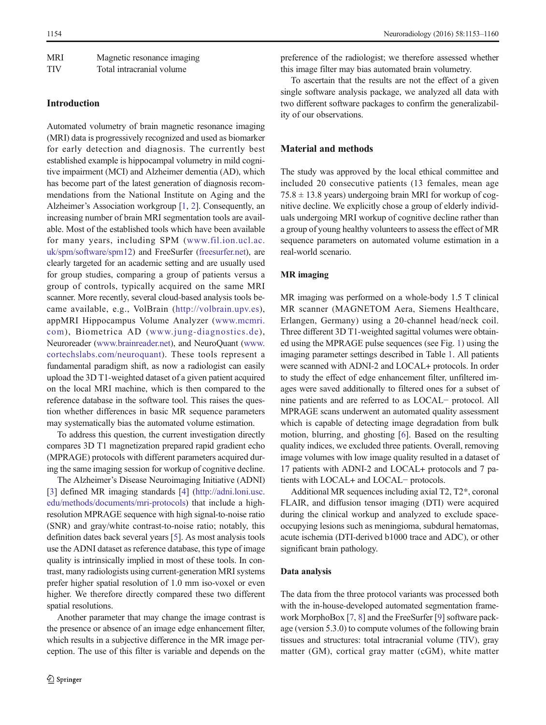| <b>MRI</b> | Magnetic resonance imaging |
|------------|----------------------------|
| <b>TIV</b> | Total intracranial volume  |

## Introduction

Automated volumetry of brain magnetic resonance imaging (MRI) data is progressively recognized and used as biomarker for early detection and diagnosis. The currently best established example is hippocampal volumetry in mild cognitive impairment (MCI) and Alzheimer dementia (AD), which has become part of the latest generation of diagnosis recommendations from the National Institute on Aging and the Alzheimer's Association workgroup [\[1](#page-6-0), [2](#page-6-0)]. Consequently, an increasing number of brain MRI segmentation tools are available. Most of the established tools which have been available for many years, including SPM ([www.fil.ion.ucl.ac.](http://www.fil.ion.ucl.ac.uk/spm/software/spm12) [uk/spm/software/spm12](http://www.fil.ion.ucl.ac.uk/spm/software/spm12)) and FreeSurfer [\(freesurfer.net](http://freesurfer.net)), are clearly targeted for an academic setting and are usually used for group studies, comparing a group of patients versus a group of controls, typically acquired on the same MRI scanner. More recently, several cloud-based analysis tools became available, e.g., VolBrain ([http://volbrain.upv.es](http://volbrain.upv.es/)), appMRI Hippocampus Volume Analyzer ([www.mcmri.](http://www.mcmri.com) [com](http://www.mcmri.com)), Biometrica AD ([www.jung-diagnostics.de\)](http://www.jung-diagnostics.de/), Neuroreader ([www.brainreader.net\)](http://www.brainreader.net), and NeuroQuant [\(www.](http://www.cortechslabs.com/neuroquant) [cortechslabs.com/neuroquant](http://www.cortechslabs.com/neuroquant)). These tools represent a fundamental paradigm shift, as now a radiologist can easily upload the 3D T1-weighted dataset of a given patient acquired on the local MRI machine, which is then compared to the reference database in the software tool. This raises the question whether differences in basic MR sequence parameters may systematically bias the automated volume estimation.

To address this question, the current investigation directly compares 3D T1 magnetization prepared rapid gradient echo (MPRAGE) protocols with different parameters acquired during the same imaging session for workup of cognitive decline.

The Alzheimer's Disease Neuroimaging Initiative (ADNI) [\[3](#page-6-0)] defined MR imaging standards [\[4](#page-6-0)] [\(http://adni.loni.usc.](http://adni.loni.usc.edu/methods/documents/mri-protocols) [edu/methods/documents/mri-protocols](http://adni.loni.usc.edu/methods/documents/mri-protocols)) that include a highresolution MPRAGE sequence with high signal-to-noise ratio (SNR) and gray/white contrast-to-noise ratio; notably, this definition dates back several years [\[5](#page-6-0)]. As most analysis tools use the ADNI dataset as reference database, this type of image quality is intrinsically implied in most of these tools. In contrast, many radiologists using current-generation MRI systems prefer higher spatial resolution of 1.0 mm iso-voxel or even higher. We therefore directly compared these two different spatial resolutions.

Another parameter that may change the image contrast is the presence or absence of an image edge enhancement filter, which results in a subjective difference in the MR image perception. The use of this filter is variable and depends on the preference of the radiologist; we therefore assessed whether this image filter may bias automated brain volumetry.

To ascertain that the results are not the effect of a given single software analysis package, we analyzed all data with two different software packages to confirm the generalizability of our observations.

## Material and methods

The study was approved by the local ethical committee and included 20 consecutive patients (13 females, mean age  $75.8 \pm 13.8$  years) undergoing brain MRI for workup of cognitive decline. We explicitly chose a group of elderly individuals undergoing MRI workup of cognitive decline rather than a group of young healthy volunteers to assess the effect of MR sequence parameters on automated volume estimation in a real-world scenario.

## MR imaging

MR imaging was performed on a whole-body 1.5 T clinical MR scanner (MAGNETOM Aera, Siemens Healthcare, Erlangen, Germany) using a 20-channel head/neck coil. Three different 3D T1-weighted sagittal volumes were obtained using the MPRAGE pulse sequences (see Fig. [1](#page-2-0)) using the imaging parameter settings described in Table [1.](#page-2-0) All patients were scanned with ADNI-2 and LOCAL+ protocols. In order to study the effect of edge enhancement filter, unfiltered images were saved additionally to filtered ones for a subset of nine patients and are referred to as LOCAL− protocol. All MPRAGE scans underwent an automated quality assessment which is capable of detecting image degradation from bulk motion, blurring, and ghosting [[6\]](#page-7-0). Based on the resulting quality indices, we excluded three patients. Overall, removing image volumes with low image quality resulted in a dataset of 17 patients with ADNI-2 and LOCAL+ protocols and 7 patients with LOCAL+ and LOCAL− protocols.

Additional MR sequences including axial T2, T2\*, coronal FLAIR, and diffusion tensor imaging (DTI) were acquired during the clinical workup and analyzed to exclude spaceoccupying lesions such as meningioma, subdural hematomas, acute ischemia (DTI-derived b1000 trace and ADC), or other significant brain pathology.

### Data analysis

The data from the three protocol variants was processed both with the in-house-developed automated segmentation framework MorphoBox [\[7](#page-7-0), [8\]](#page-7-0) and the FreeSurfer [\[9](#page-7-0)] software package (version 5.3.0) to compute volumes of the following brain tissues and structures: total intracranial volume (TIV), gray matter (GM), cortical gray matter (cGM), white matter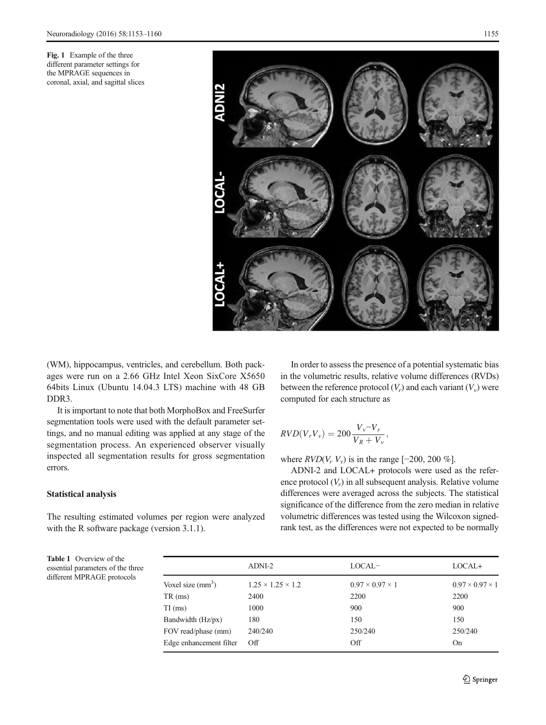<span id="page-2-0"></span>Fig. 1 Example of the three different parameter settings for the MPRAGE sequences in coronal, axial, and sagittal slices



(WM), hippocampus, ventricles, and cerebellum. Both packages were run on a 2.66 GHz Intel Xeon SixCore X5650 64bits Linux (Ubuntu 14.04.3 LTS) machine with 48 GB DDR3.

It is important to note that both MorphoBox and FreeSurfer segmentation tools were used with the default parameter settings, and no manual editing was applied at any stage of the segmentation process. An experienced observer visually inspected all segmentation results for gross segmentation errors.

## Statistical analysis

The resulting estimated volumes per region were analyzed with the R software package (version 3.1.1).

In order to assess the presence of a potential systematic bias in the volumetric results, relative volume differences (RVDs) between the reference protocol  $(V_r)$  and each variant  $(V_v)$  were computed for each structure as

$$
RVD(V_rV_v) = 200 \frac{V_v - V_r}{V_R + V_v},
$$

where  $RVD(V_r V_v)$  is in the range [−200, 200 %].

ADNI-2 and LOCAL+ protocols were used as the reference protocol  $(V_r)$  in all subsequent analysis. Relative volume differences were averaged across the subjects. The statistical significance of the difference from the zero median in relative volumetric differences was tested using the Wilcoxon signedrank test, as the differences were not expected to be normally

Table 1 Overview of the essential parameters of the three different MPRAGE protocols

|                         | ADNI-2                        | $LOCAL-$                    | $LOCAL+$                    |  |
|-------------------------|-------------------------------|-----------------------------|-----------------------------|--|
| Voxel size $(mm3)$      | $1.25 \times 1.25 \times 1.2$ | $0.97 \times 0.97 \times 1$ | $0.97 \times 0.97 \times 1$ |  |
| TR (ms)                 | 2400                          | 2200                        | 2200                        |  |
| $TI$ (ms)               | 1000                          | 900                         | 900                         |  |
| Bandwidth (Hz/px)       | 180                           | 150                         | 150                         |  |
| FOV read/phase (mm)     | 240/240                       | 250/240                     | 250/240                     |  |
| Edge enhancement filter | $\Omega$                      | Off                         | On                          |  |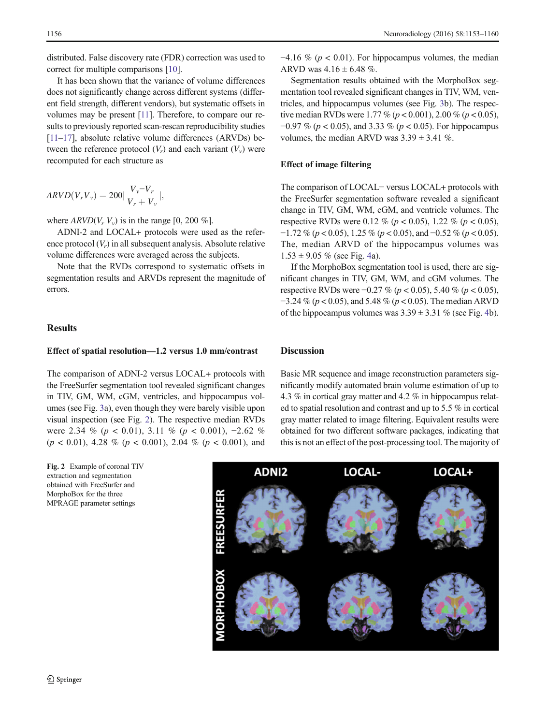distributed. False discovery rate (FDR) correction was used to correct for multiple comparisons [[10](#page-7-0)].

It has been shown that the variance of volume differences does not significantly change across different systems (different field strength, different vendors), but systematic offsets in volumes may be present [[11\]](#page-7-0). Therefore, to compare our results to previously reported scan-rescan reproducibility studies [\[11](#page-7-0)–[17](#page-7-0)], absolute relative volume differences (ARVDs) between the reference protocol  $(V_r)$  and each variant  $(V_v)$  were recomputed for each structure as

$$
ARVD(V_rV_v) = 200 \left| \frac{V_v - V_r}{V_r + V_v} \right|,
$$

where  $ARVD(V_r V_v)$  is in the range [0, 200 %].

ADNI-2 and LOCAL+ protocols were used as the reference protocol  $(V_r)$  in all subsequent analysis. Absolute relative volume differences were averaged across the subjects.

Note that the RVDs correspond to systematic offsets in segmentation results and ARVDs represent the magnitude of errors.

## Results

#### Effect of spatial resolution—1.2 versus 1.0 mm/contrast

The comparison of ADNI-2 versus LOCAL+ protocols with the FreeSurfer segmentation tool revealed significant changes in TIV, GM, WM, cGM, ventricles, and hippocampus volumes (see Fig. [3a](#page-4-0)), even though they were barely visible upon visual inspection (see Fig. 2). The respective median RVDs were 2.34 % ( $p < 0.01$ ), 3.11 % ( $p < 0.001$ ), -2.62 %  $(p < 0.01)$ , 4.28 %  $(p < 0.001)$ , 2.04 %  $(p < 0.001)$ , and

Fig. 2 Example of coronal TIV extraction and segmentation obtained with FreeSurfer and MorphoBox for the three MPRAGE parameter settings

 $-4.16\%$  ( $p < 0.01$ ). For hippocampus volumes, the median ARVD was  $4.16 \pm 6.48$  %.

Segmentation results obtained with the MorphoBox segmentation tool revealed significant changes in TIV, WM, ventricles, and hippocampus volumes (see Fig. [3b](#page-4-0)). The respective median RVDs were 1.77 % ( $p < 0.001$ ), 2.00 % ( $p < 0.05$ ),  $-0.97\%$  ( $p < 0.05$ ), and 3.33 % ( $p < 0.05$ ). For hippocampus volumes, the median ARVD was  $3.39 \pm 3.41$  %.

## Effect of image filtering

The comparison of LOCAL− versus LOCAL+ protocols with the FreeSurfer segmentation software revealed a significant change in TIV, GM, WM, cGM, and ventricle volumes. The respective RVDs were 0.12 % ( $p < 0.05$ ), 1.22 % ( $p < 0.05$ ),  $-1.72\%$  (p < 0.05), 1.25 % (p < 0.05), and  $-0.52\%$  (p < 0.05). The, median ARVD of the hippocampus volumes was  $1.53 \pm 9.05 \%$  (see Fig. [4](#page-5-0)a).

If the MorphoBox segmentation tool is used, there are significant changes in TIV, GM, WM, and cGM volumes. The respective RVDs were −0.27 % (p < 0.05), 5.40 % (p < 0.05),  $-3.24\%$  (p < 0.05), and 5.48 % (p < 0.05). The median ARVD of the hippocampus volumes was  $3.39 \pm 3.31$  % (see Fig. [4b](#page-5-0)).

# **Discussion**

Basic MR sequence and image reconstruction parameters significantly modify automated brain volume estimation of up to 4.3 % in cortical gray matter and 4.2 % in hippocampus related to spatial resolution and contrast and up to 5.5 % in cortical gray matter related to image filtering. Equivalent results were obtained for two different software packages, indicating that this is not an effect of the post-processing tool. The majority of

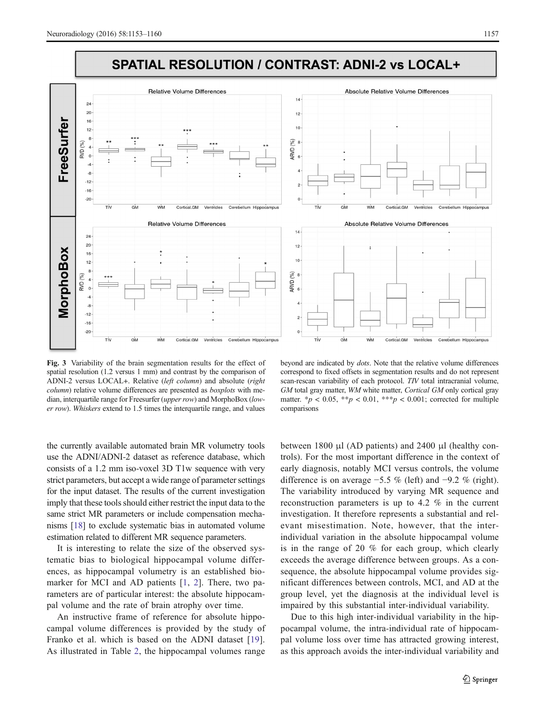<span id="page-4-0"></span>

Fig. 3 Variability of the brain segmentation results for the effect of spatial resolution (1.2 versus 1 mm) and contrast by the comparison of ADNI-2 versus LOCAL+. Relative (left column) and absolute (right column) relative volume differences are presented as *boxplots* with median, interquartile range for Freesurfer (upper row) and MorphoBox (lower row). Whiskers extend to 1.5 times the interquartile range, and values

beyond are indicated by dots. Note that the relative volume differences correspond to fixed offsets in segmentation results and do not represent scan-rescan variability of each protocol. TIV total intracranial volume, GM total gray matter, WM white matter, Cortical GM only cortical gray matter.  $*_{p}$  < 0.05,  $*_{p}$  < 0.01,  $*_{p}$  < 0.001; corrected for multiple comparisons

the currently available automated brain MR volumetry tools use the ADNI/ADNI-2 dataset as reference database, which consists of a 1.2 mm iso-voxel 3D T1w sequence with very strict parameters, but accept a wide range of parameter settings for the input dataset. The results of the current investigation imply that these tools should either restrict the input data to the same strict MR parameters or include compensation mechanisms [\[18](#page-7-0)] to exclude systematic bias in automated volume estimation related to different MR sequence parameters.

It is interesting to relate the size of the observed systematic bias to biological hippocampal volume differences, as hippocampal volumetry is an established biomarker for MCI and AD patients [[1,](#page-6-0) [2\]](#page-6-0). There, two parameters are of particular interest: the absolute hippocampal volume and the rate of brain atrophy over time.

An instructive frame of reference for absolute hippocampal volume differences is provided by the study of Franko et al. which is based on the ADNI dataset [[19](#page-7-0)]. As illustrated in Table [2,](#page-5-0) the hippocampal volumes range

between 1800 μl (AD patients) and 2400 μl (healthy controls). For the most important difference in the context of early diagnosis, notably MCI versus controls, the volume difference is on average −5.5 % (left) and −9.2 % (right). The variability introduced by varying MR sequence and reconstruction parameters is up to 4.2 % in the current investigation. It therefore represents a substantial and relevant misestimation. Note, however, that the interindividual variation in the absolute hippocampal volume is in the range of 20 % for each group, which clearly exceeds the average difference between groups. As a consequence, the absolute hippocampal volume provides significant differences between controls, MCI, and AD at the group level, yet the diagnosis at the individual level is impaired by this substantial inter-individual variability.

Due to this high inter-individual variability in the hippocampal volume, the intra-individual rate of hippocampal volume loss over time has attracted growing interest, as this approach avoids the inter-individual variability and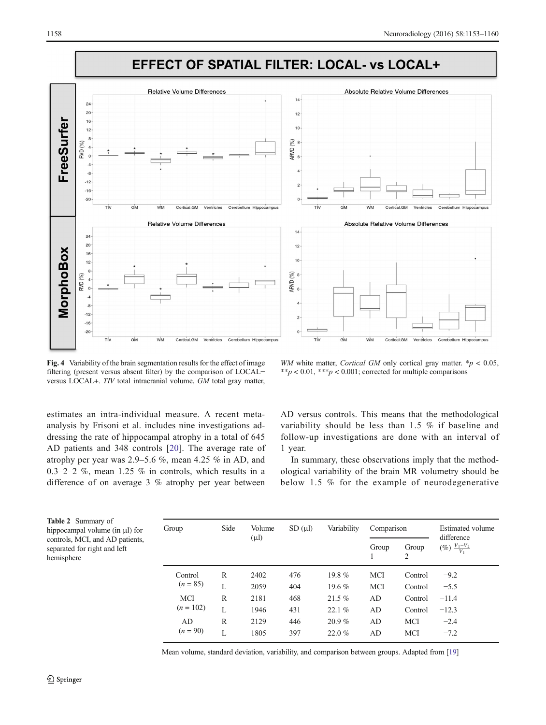<span id="page-5-0"></span>

Fig. 4 Variability of the brain segmentation results for the effect of image filtering (present versus absent filter) by the comparison of LOCAL− versus LOCAL+. TIV total intracranial volume, GM total gray matter,

WM white matter, Cortical GM only cortical gray matter.  $* p < 0.05$ , \*\*p < 0.01, \*\*\*p < 0.001; corrected for multiple comparisons

estimates an intra-individual measure. A recent metaanalysis by Frisoni et al. includes nine investigations addressing the rate of hippocampal atrophy in a total of 645 AD patients and 348 controls [[20](#page-7-0)]. The average rate of atrophy per year was 2.9–5.6 %, mean 4.25 % in AD, and 0.3–2–2 %, mean 1.25 % in controls, which results in a difference of on average 3 % atrophy per year between

AD versus controls. This means that the methodological variability should be less than 1.5 % if baseline and follow-up investigations are done with an interval of 1 year.

In summary, these observations imply that the methodological variability of the brain MR volumetry should be below 1.5 % for the example of neurodegenerative

Table 2 Summary of hippocampal volume (in μl) for controls, MCI, and AD patients, separated for right and left hemisphere

| Group       | Side         | Volume<br>$(\mu l)$ | $SD(\mu l)$ |          | Comparison |            | Estimated volume<br>difference |
|-------------|--------------|---------------------|-------------|----------|------------|------------|--------------------------------|
|             |              |                     |             |          | Group      | Group<br>2 | $(\%) \frac{V_1 - V_2}{V_1}$   |
| Control     | R            | 2402                | 476         | $19.8\%$ | <b>MCI</b> | Control    | $-9.2$                         |
| $(n = 85)$  | L            | 2059                | 404         | 19.6 $%$ | <b>MCI</b> | Control    | $-5.5$                         |
| <b>MCI</b>  | R            | 2181                | 468         | 21.5%    | AD         | Control    | $-11.4$                        |
| $(n = 102)$ | $\mathbf{L}$ | 1946                | 431         | 22.1%    | AD         | Control    | $-12.3$                        |
| AD          | R            | 2129                | 446         | 20.9%    | AD         | MCI        | $-2.4$                         |
| $(n = 90)$  | $\mathbf{L}$ | 1805                | 397         | 22.0%    | AD         | MCI        | $-7.2$                         |

Mean volume, standard deviation, variability, and comparison between groups. Adapted from [[19\]](#page-7-0)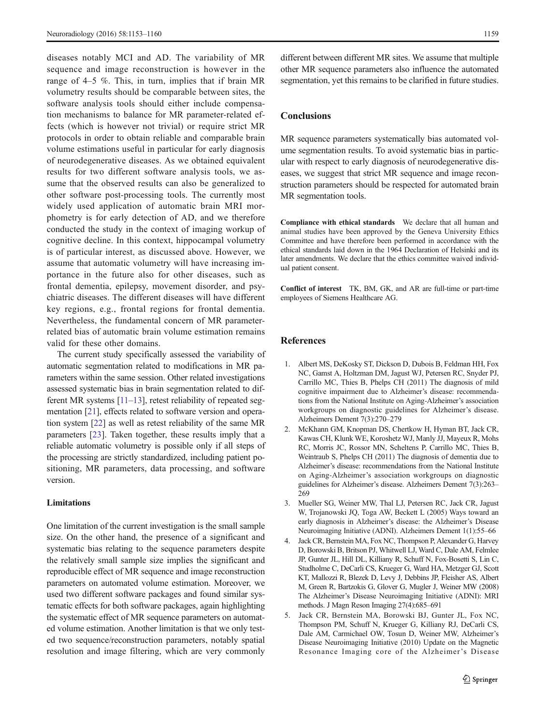<span id="page-6-0"></span>diseases notably MCI and AD. The variability of MR sequence and image reconstruction is however in the range of 4–5 %. This, in turn, implies that if brain MR volumetry results should be comparable between sites, the software analysis tools should either include compensation mechanisms to balance for MR parameter-related effects (which is however not trivial) or require strict MR protocols in order to obtain reliable and comparable brain volume estimations useful in particular for early diagnosis of neurodegenerative diseases. As we obtained equivalent results for two different software analysis tools, we assume that the observed results can also be generalized to other software post-processing tools. The currently most widely used application of automatic brain MRI morphometry is for early detection of AD, and we therefore conducted the study in the context of imaging workup of cognitive decline. In this context, hippocampal volumetry is of particular interest, as discussed above. However, we assume that automatic volumetry will have increasing importance in the future also for other diseases, such as frontal dementia, epilepsy, movement disorder, and psychiatric diseases. The different diseases will have different key regions, e.g., frontal regions for frontal dementia. Nevertheless, the fundamental concern of MR parameterrelated bias of automatic brain volume estimation remains valid for these other domains.

The current study specifically assessed the variability of automatic segmentation related to modifications in MR parameters within the same session. Other related investigations assessed systematic bias in brain segmentation related to different MR systems [[11](#page-7-0)–[13\]](#page-7-0), retest reliability of repeated segmentation [[21](#page-7-0)], effects related to software version and operation system [\[22](#page-7-0)] as well as retest reliability of the same MR parameters [[23\]](#page-7-0). Taken together, these results imply that a reliable automatic volumetry is possible only if all steps of the processing are strictly standardized, including patient positioning, MR parameters, data processing, and software version.

# Limitations

One limitation of the current investigation is the small sample size. On the other hand, the presence of a significant and systematic bias relating to the sequence parameters despite the relatively small sample size implies the significant and reproducible effect of MR sequence and image reconstruction parameters on automated volume estimation. Moreover, we used two different software packages and found similar systematic effects for both software packages, again highlighting the systematic effect of MR sequence parameters on automated volume estimation. Another limitation is that we only tested two sequence/reconstruction parameters, notably spatial resolution and image filtering, which are very commonly different between different MR sites. We assume that multiple other MR sequence parameters also influence the automated segmentation, yet this remains to be clarified in future studies.

# **Conclusions**

MR sequence parameters systematically bias automated volume segmentation results. To avoid systematic bias in particular with respect to early diagnosis of neurodegenerative diseases, we suggest that strict MR sequence and image reconstruction parameters should be respected for automated brain MR segmentation tools.

Compliance with ethical standards We declare that all human and animal studies have been approved by the Geneva University Ethics Committee and have therefore been performed in accordance with the ethical standards laid down in the 1964 Declaration of Helsinki and its later amendments. We declare that the ethics committee waived individual patient consent.

Conflict of interest TK, BM, GK, and AR are full-time or part-time employees of Siemens Healthcare AG.

## References

- 1. Albert MS, DeKosky ST, Dickson D, Dubois B, Feldman HH, Fox NC, Gamst A, Holtzman DM, Jagust WJ, Petersen RC, Snyder PJ, Carrillo MC, Thies B, Phelps CH (2011) The diagnosis of mild cognitive impairment due to Alzheimer's disease: recommendations from the National Institute on Aging-Alzheimer's association workgroups on diagnostic guidelines for Alzheimer's disease. Alzheimers Dement 7(3):270–279
- 2. McKhann GM, Knopman DS, Chertkow H, Hyman BT, Jack CR, Kawas CH, Klunk WE, Koroshetz WJ, Manly JJ, Mayeux R, Mohs RC, Morris JC, Rossor MN, Scheltens P, Carrillo MC, Thies B, Weintraub S, Phelps CH (2011) The diagnosis of dementia due to Alzheimer's disease: recommendations from the National Institute on Aging-Alzheimer's association workgroups on diagnostic guidelines for Alzheimer's disease. Alzheimers Dement 7(3):263– 269
- 3. Mueller SG, Weiner MW, Thal LJ, Petersen RC, Jack CR, Jagust W, Trojanowski JQ, Toga AW, Beckett L (2005) Ways toward an early diagnosis in Alzheimer's disease: the Alzheimer's Disease Neuroimaging Initiative (ADNI). Alzheimers Dement 1(1):55–66
- 4. Jack CR, Bernstein MA, Fox NC, Thompson P, Alexander G, Harvey D, Borowski B, Britson PJ, Whitwell LJ, Ward C, Dale AM, Felmlee JP, Gunter JL, Hill DL, Killiany R, Schuff N, Fox-Bosetti S, Lin C, Studholme C, DeCarli CS, Krueger G, Ward HA, Metzger GJ, Scott KT, Mallozzi R, Blezek D, Levy J, Debbins JP, Fleisher AS, Albert M, Green R, Bartzokis G, Glover G, Mugler J, Weiner MW (2008) The Alzheimer's Disease Neuroimaging Initiative (ADNI): MRI methods. J Magn Reson Imaging 27(4):685–691
- 5. Jack CR, Bernstein MA, Borowski BJ, Gunter JL, Fox NC, Thompson PM, Schuff N, Krueger G, Killiany RJ, DeCarli CS, Dale AM, Carmichael OW, Tosun D, Weiner MW, Alzheimer's Disease Neuroimaging Initiative (2010) Update on the Magnetic Resonance Imaging core of the Alzheimer's Disease